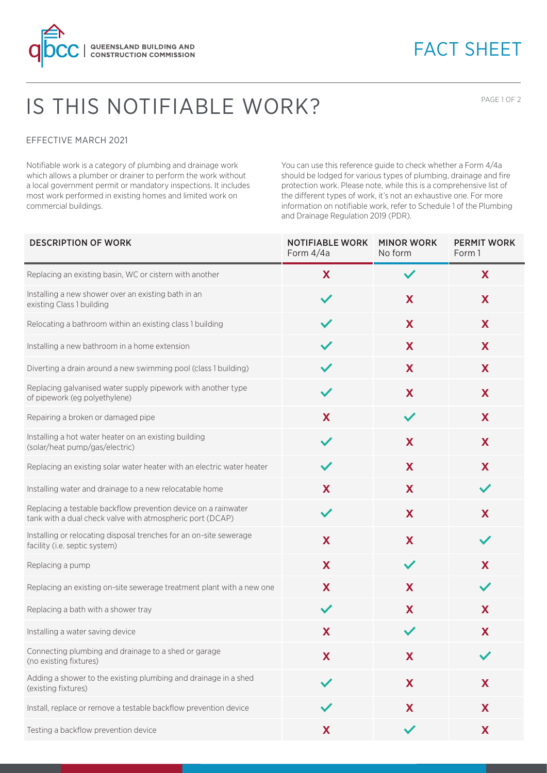

## FACT SHEET

## IS THIS NOTIFIABLE WORK?

PAGE 1 OF 2

## EFFECTIVE MARCH 2021

Notifiable work is a category of plumbing and drainage work which allows a plumber or drainer to perform the work without a local government permit or mandatory inspections. It includes most work performed in existing homes and limited work on commercial buildings.

You can use this reference guide to check whether a Form 4/4a should be lodged for various types of plumbing, drainage and fire protection work. Please note, while this is a comprehensive list of the different types of work, it's not an exhaustive one. For more information on notifiable work, refer to Schedule 1 of the Plumbing and Drainage Regulation 2019 (PDR).

| <b>DESCRIPTION OF WORK</b>                                                                                                  | <b>NOTIFIABLE WORK</b><br>Form 4/4a | <b>MINOR WORK</b><br>No form | <b>PERMIT WORK</b><br>Form 1 |
|-----------------------------------------------------------------------------------------------------------------------------|-------------------------------------|------------------------------|------------------------------|
| Replacing an existing basin, WC or cistern with another                                                                     | X                                   | $\checkmark$                 | X                            |
| Installing a new shower over an existing bath in an<br>existing Class 1 building                                            |                                     | X                            | X                            |
| Relocating a bathroom within an existing class 1 building                                                                   |                                     | X                            | X                            |
| Installing a new bathroom in a home extension                                                                               |                                     | X                            | X                            |
| Diverting a drain around a new swimming pool (class 1 building)                                                             |                                     | X                            | X                            |
| Replacing galvanised water supply pipework with another type<br>of pipework (eg polyethylene)                               | $\checkmark$                        | X                            | X                            |
| Repairing a broken or damaged pipe                                                                                          | X                                   | $\checkmark$                 | X                            |
| Installing a hot water heater on an existing building<br>(solar/heat pump/gas/electric)                                     | $\checkmark$                        | X                            | X                            |
| Replacing an existing solar water heater with an electric water heater                                                      | $\checkmark$                        | X                            | X                            |
| Installing water and drainage to a new relocatable home                                                                     | X                                   | X                            |                              |
| Replacing a testable backflow prevention device on a rainwater<br>tank with a dual check valve with atmospheric port (DCAP) | $\checkmark$                        | X                            | X                            |
| Installing or relocating disposal trenches for an on-site sewerage<br>facility (i.e. septic system)                         | X                                   | X                            |                              |
| Replacing a pump                                                                                                            | X                                   | $\checkmark$                 | X                            |
| Replacing an existing on-site sewerage treatment plant with a new one                                                       | X                                   | X                            |                              |
| Replacing a bath with a shower tray                                                                                         | $\checkmark$                        | X                            | X                            |
| Installing a water saving device                                                                                            | X                                   | $\checkmark$                 | X                            |
| Connecting plumbing and drainage to a shed or garage<br>(no existing fixtures)                                              | X                                   | X                            |                              |
| Adding a shower to the existing plumbing and drainage in a shed<br>(existing fixtures)                                      |                                     | X                            | X                            |
| Install, replace or remove a testable backflow prevention device                                                            |                                     | X                            | X                            |
| Testing a backflow prevention device                                                                                        | X                                   |                              | X                            |